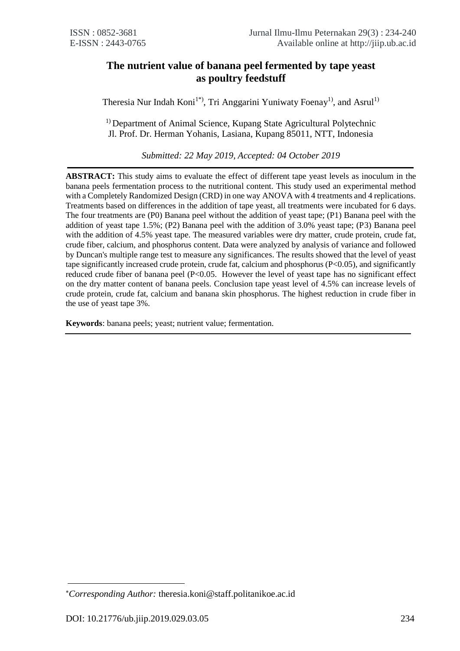# **The nutrient value of banana peel fermented by tape yeast as poultry feedstuff**

Theresia Nur Indah Koni<sup>1\*)</sup>, Tri Anggarini Yuniwaty Foenay<sup>1)</sup>, and Asrul<sup>1)</sup>

<sup>1)</sup> Department of Animal Science, Kupang State Agricultural Polytechnic Jl. Prof. Dr. Herman Yohanis, Lasiana, Kupang 85011, NTT, Indonesia

*Submitted: 22 May 2019, Accepted: 04 October 2019*

**ABSTRACT:** This study aims to evaluate the effect of different tape yeast levels as inoculum in the banana peels fermentation process to the nutritional content. This study used an experimental method with a Completely Randomized Design (CRD) in one way ANOVA with 4 treatments and 4 replications. Treatments based on differences in the addition of tape yeast, all treatments were incubated for 6 days. The four treatments are (P0) Banana peel without the addition of yeast tape; (P1) Banana peel with the addition of yeast tape 1.5%; (P2) Banana peel with the addition of 3.0% yeast tape; (P3) Banana peel with the addition of 4.5% yeast tape. The measured variables were dry matter, crude protein, crude fat, crude fiber, calcium, and phosphorus content. Data were analyzed by analysis of variance and followed by Duncan's multiple range test to measure any significances. The results showed that the level of yeast tape significantly increased crude protein, crude fat, calcium and phosphorus (P<0.05), and significantly reduced crude fiber of banana peel (P<0.05. However the level of yeast tape has no significant effect on the dry matter content of banana peels. Conclusion tape yeast level of 4.5% can increase levels of crude protein, crude fat, calcium and banana skin phosphorus. The highest reduction in crude fiber in the use of yeast tape 3%.

**Keywords**: banana peels; yeast; nutrient value; fermentation.

*Corresponding Author:* theresia.koni@staff.politanikoe.ac.id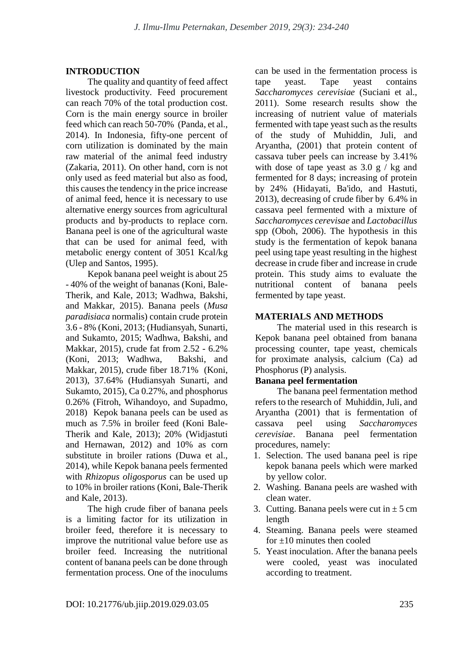#### **INTRODUCTION**

The quality and quantity of feed affect livestock productivity. Feed procurement can reach 70% of the total production cost. Corn is the main energy source in broiler feed which can reach 50-70% (Panda, et al., 2014). In Indonesia, fifty-one percent of corn utilization is dominated by the main raw material of the animal feed industry (Zakaria, 2011). On other hand, corn is not only used as feed material but also as food, this causes the tendency in the price increase of animal feed, hence it is necessary to use alternative energy sources from agricultural products and by-products to replace corn. Banana peel is one of the agricultural waste that can be used for animal feed, with metabolic energy content of 3051 Kcal/kg (Ulep and Santos, 1995).

Kepok banana peel weight is about 25 - 40% of the weight of bananas (Koni, Bale-Therik, and Kale, 2013; Wadhwa, Bakshi, and Makkar, 2015). Banana peels (*Musa paradisiaca* normalis) contain crude protein 3.6 - 8% (Koni, 2013; (Hudiansyah, Sunarti, and Sukamto, 2015; Wadhwa, Bakshi, and Makkar, 2015), crude fat from 2.52 - 6.2% (Koni, 2013; Wadhwa, Bakshi, and Makkar, 2015), crude fiber 18.71% (Koni, 2013), 37.64% (Hudiansyah Sunarti, and Sukamto, 2015), Ca 0.27%, and phosphorus 0.26% (Fitroh, Wihandoyo, and Supadmo, 2018) Kepok banana peels can be used as much as 7.5% in broiler feed (Koni Bale-Therik and Kale, 2013); 20% (Widjastuti and Hernawan, 2012) and 10% as corn substitute in broiler rations (Duwa et al., 2014), while Kepok banana peels fermented with *Rhizopus oligosporus* can be used up to 10% in broiler rations (Koni, Bale-Therik and Kale, 2013).

The high crude fiber of banana peels is a limiting factor for its utilization in broiler feed, therefore it is necessary to improve the nutritional value before use as broiler feed. Increasing the nutritional content of banana peels can be done through fermentation process. One of the inoculums

can be used in the fermentation process is tape yeast. Tape yeast contains *Saccharomyces cerevisiae* (Suciani et al., 2011). Some research results show the increasing of nutrient value of materials fermented with tape yeast such as the results of the study of Muhiddin, Juli, and Aryantha, (2001) that protein content of cassava tuber peels can increase by 3.41% with dose of tape yeast as  $3.0 \text{ g}$  / kg and fermented for 8 days; increasing of protein by 24% (Hidayati, Ba'ido, and Hastuti, 2013), decreasing of crude fiber by 6.4% in cassava peel fermented with a mixture of *Saccharomyces cerevisae* and *Lactobacillus* spp (Oboh, 2006). The hypothesis in this study is the fermentation of kepok banana peel using tape yeast resulting in the highest decrease in crude fiber and increase in crude protein. This study aims to evaluate the nutritional content of banana peels fermented by tape yeast.

#### **MATERIALS AND METHODS**

The material used in this research is Kepok banana peel obtained from banana processing counter, tape yeast, chemicals for proximate analysis, calcium (Ca) ad Phosphorus (P) analysis.

#### **Banana peel fermentation**

The banana peel fermentation method refers to the research of Muhiddin, Juli, and Aryantha (2001) that is fermentation of cassava peel using *Saccharomyces cerevisiae*. Banana peel fermentation procedures, namely:

- 1. Selection. The used banana peel is ripe kepok banana peels which were marked by yellow color.
- 2. Washing. Banana peels are washed with clean water.
- 3. Cutting. Banana peels were cut in  $\pm$  5 cm length
- 4. Steaming. Banana peels were steamed for  $+10$  minutes then cooled
- 5. Yeast inoculation. After the banana peels were cooled, yeast was inoculated according to treatment.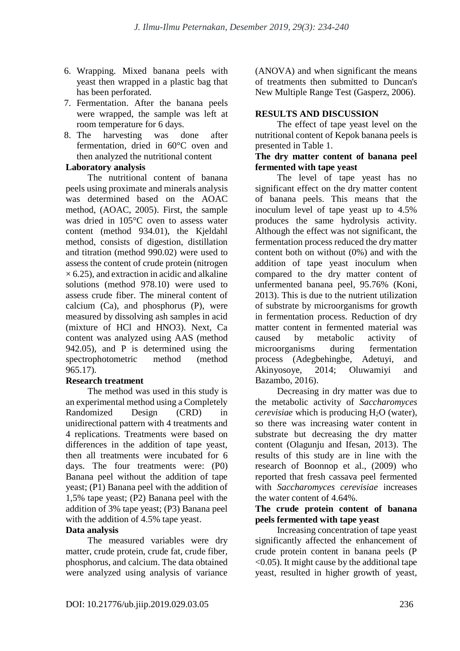- 6. Wrapping. Mixed banana peels with yeast then wrapped in a plastic bag that has been perforated.
- 7. Fermentation. After the banana peels were wrapped, the sample was left at room temperature for 6 days.
- 8. The harvesting was done after fermentation, dried in 60°C oven and then analyzed the nutritional content

#### **Laboratory analysis**

The nutritional content of banana peels using proximate and minerals analysis was determined based on the AOAC method, (AOAC, 2005). First, the sample was dried in 105°C oven to assess water content (method 934.01), the Kjeldahl method, consists of digestion, distillation and titration (method 990.02) were used to assess the content of crude protein (nitrogen  $\times$  6.25), and extraction in acidic and alkaline solutions (method 978.10) were used to assess crude fiber. The mineral content of calcium (Ca), and phosphorus (P), were measured by dissolving ash samples in acid (mixture of HCl and HNO3). Next, Ca content was analyzed using AAS (method 942.05), and P is determined using the spectrophotometric method (method 965.17).

## **Research treatment**

The method was used in this study is an experimental method using a Completely Randomized Design (CRD) in unidirectional pattern with 4 treatments and 4 replications. Treatments were based on differences in the addition of tape yeast, then all treatments were incubated for 6 days. The four treatments were: (P0) Banana peel without the addition of tape yeast; (P1) Banana peel with the addition of 1,5% tape yeast; (P2) Banana peel with the addition of 3% tape yeast; (P3) Banana peel with the addition of 4.5% tape yeast.

## **Data analysis**

The measured variables were dry matter, crude protein, crude fat, crude fiber, phosphorus, and calcium. The data obtained were analyzed using analysis of variance

(ANOVA) and when significant the means of treatments then submitted to Duncan's New Multiple Range Test (Gasperz, 2006).

#### **RESULTS AND DISCUSSION**

The effect of tape yeast level on the nutritional content of Kepok banana peels is presented in Table 1.

#### **The dry matter content of banana peel fermented with tape yeast**

The level of tape yeast has no significant effect on the dry matter content of banana peels. This means that the inoculum level of tape yeast up to 4.5% produces the same hydrolysis activity. Although the effect was not significant, the fermentation process reduced the dry matter content both on without (0%) and with the addition of tape yeast inoculum when compared to the dry matter content of unfermented banana peel, 95.76% (Koni, 2013). This is due to the nutrient utilization of substrate by microorganisms for growth in fermentation process. Reduction of dry matter content in fermented material was caused by metabolic activity of microorganisms during fermentation process (Adegbehingbe, Adetuyi, and Akinyosoye, 2014; Oluwamiyi and Bazambo, 2016).

Decreasing in dry matter was due to the metabolic activity of *Saccharomyces cerevisiae* which is producing H2O (water), so there was increasing water content in substrate but decreasing the dry matter content (Olagunju and Ifesan, 2013). The results of this study are in line with the research of Boonnop et al., (2009) who reported that fresh cassava peel fermented with *Saccharomyces cerevisiae* increases the water content of 4.64%.

#### **The crude protein content of banana peels fermented with tape yeast**

Increasing concentration of tape yeast significantly affected the enhancement of crude protein content in banana peels (P  $\leq$ 0.05). It might cause by the additional tape yeast, resulted in higher growth of yeast,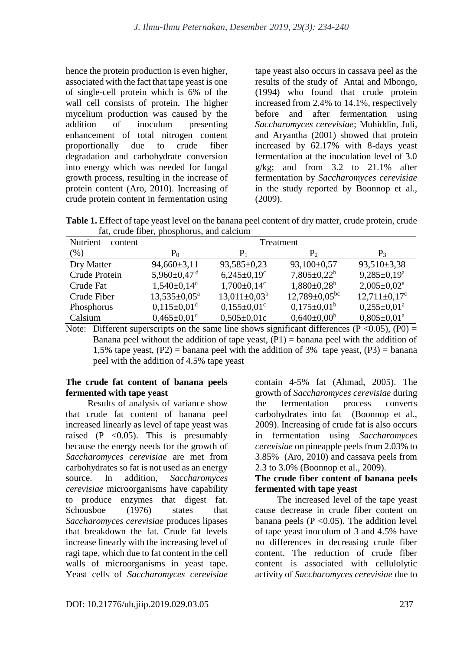hence the protein production is even higher, associated with the fact that tape yeast is one of single-cell protein which is 6% of the wall cell consists of protein. The higher mycelium production was caused by the addition of inoculum presenting enhancement of total nitrogen content proportionally due to crude fiber degradation and carbohydrate conversion into energy which was needed for fungal growth process, resulting in the increase of protein content (Aro, 2010). Increasing of crude protein content in fermentation using

tape yeast also occurs in cassava peel as the results of the study of Antai and Mbongo, (1994) who found that crude protein increased from 2.4% to 14.1%, respectively before and after fermentation using *Saccharomyces cerevisiae*; Muhiddin, Juli, and Aryantha (2001) showed that protein increased by 62.17% with 8-days yeast fermentation at the inoculation level of 3.0  $g/kg$ ; and from 3.2 to 21.1% after fermentation by *Saccharomyces cerevisiae* in the study reported by Boonnop et al., (2009).

**Table 1.** Effect of tape yeast level on the banana peel content of dry matter, crude protein, crude fat, crude fiber, phosphorus, and calcium

| Nutrient<br>content | Treatment                     |                               |                                 |                    |
|---------------------|-------------------------------|-------------------------------|---------------------------------|--------------------|
| $(\%)$              | $P_0$                         | $P_1$                         | P <sub>2</sub>                  | $P_3$              |
| Dry Matter          | $94,660\pm3,11$               | $93,585 \pm 0.23$             | $93,100\pm0.57$                 | $93,510\pm3,38$    |
| Crude Protein       | 5,960 $\pm$ 0,47 <sup>d</sup> | $6,245\pm0,19^c$              | $7,805 \pm 0,22^b$              | $9,285 \pm 0,19^a$ |
| Crude Fat           | $1,540\pm0,14^d$              | $1,700 \pm 0,14$ <sup>c</sup> | $1,880 \pm 0,28$ <sup>b</sup>   | $2,005 \pm 0,02^a$ |
| Crude Fiber         | $13,535 \pm 0.05^a$           | $13,011\pm0.03^b$             | $12,789 \pm 0.05$ <sup>bc</sup> | $12,711\pm0,17^c$  |
| Phosphorus          | $0,115\pm0.01^d$              | $0.155 \pm 0.01$ <sup>c</sup> | $0.175 \pm 0.01^{\rm b}$        | $0,255 \pm 0.01^a$ |
| Calsium             | $0,465 \pm 0,01$ <sup>d</sup> | $0,505 \pm 0,01c$             | $0,640\pm0,00^{\rm b}$          | $0,805 \pm 0.01^a$ |

Note: Different superscripts on the same line shows significant differences ( $P \le 0.05$ ), ( $P0$ ) = Banana peel without the addition of tape yeast,  $(P1)$  = banana peel with the addition of 1,5% tape yeast,  $(P2)$  = banana peel with the addition of 3% tape yeast,  $(P3)$  = banana peel with the addition of 4.5% tape yeast

## **The crude fat content of banana peels fermented with tape yeast**

Results of analysis of variance show that crude fat content of banana peel increased linearly as level of tape yeast was raised  $(P \leq 0.05)$ . This is presumably because the energy needs for the growth of *Saccharomyces cerevisiae* are met from carbohydrates so fat is not used as an energy source. In addition, *Saccharomyces cerevisiae* microorganisms have capability to produce enzymes that digest fat. Schousboe (1976) states that *Saccharomyces cerevisiae* produces lipases that breakdown the fat. Crude fat levels increase linearly with the increasing level of ragi tape, which due to fat content in the cell walls of microorganisms in yeast tape. Yeast cells of *Saccharomyces cerevisiae*

contain 4-5% fat (Ahmad, 2005). The growth of *Saccharomyces cerevisiae* during the fermentation process converts carbohydrates into fat (Boonnop et al., 2009). Increasing of crude fat is also occurs in fermentation using *Saccharomyces cerevisiae* on pineapple peels from 2.03% to 3.85% (Aro, 2010) and cassava peels from 2.3 to 3.0% (Boonnop et al., 2009).

## **The crude fiber content of banana peels fermented with tape yeast**

The increased level of the tape yeast cause decrease in crude fiber content on banana peels ( $P < 0.05$ ). The addition level of tape yeast inoculum of 3 and 4.5% have no differences in decreasing crude fiber content. The reduction of crude fiber content is associated with cellulolytic activity of *Saccharomyces cerevisiae* due to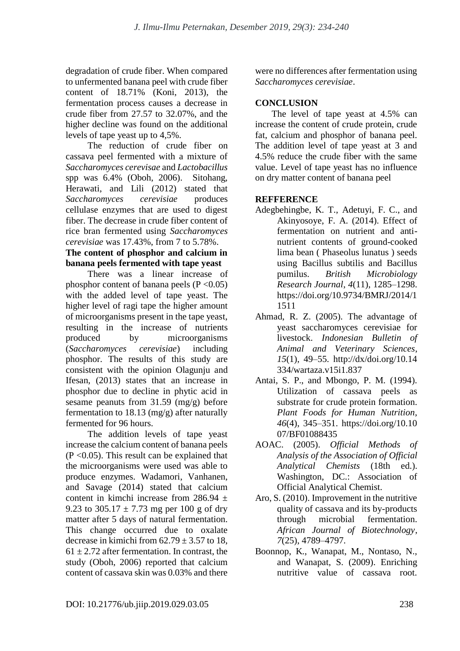degradation of crude fiber. When compared to unfermented banana peel with crude fiber content of 18.71% (Koni, 2013), the fermentation process causes a decrease in crude fiber from 27.57 to 32.07%, and the higher decline was found on the additional levels of tape yeast up to 4,5%.

The reduction of crude fiber on cassava peel fermented with a mixture of *Saccharomyces cerevisae* and *Lactobacillus* spp was 6.4% (Oboh, 2006). Sitohang, Herawati, and Lili (2012) stated that *Saccharomyces cerevisiae* produces cellulase enzymes that are used to digest fiber. The decrease in crude fiber content of rice bran fermented using *Saccharomyces cerevisiae* was 17.43%, from 7 to 5.78%.

# **The content of phosphor and calcium in banana peels fermented with tape yeast**

There was a linear increase of phosphor content of banana peels  $(P \le 0.05)$ with the added level of tape yeast. The higher level of ragi tape the higher amount of microorganisms present in the tape yeast, resulting in the increase of nutrients produced by microorganisms (*Saccharomyces cerevisiae*) including phosphor. The results of this study are consistent with the opinion Olagunju and Ifesan, (2013) states that an increase in phosphor due to decline in phytic acid in sesame peanuts from 31.59 (mg/g) before fermentation to 18.13 (mg/g) after naturally fermented for 96 hours.

The addition levels of tape yeast increase the calcium content of banana peels (P <0.05). This result can be explained that the microorganisms were used was able to produce enzymes. Wadamori, Vanhanen, and Savage (2014) stated that calcium content in kimchi increase from 286.94 ± 9.23 to 305.17  $\pm$  7.73 mg per 100 g of dry matter after 5 days of natural fermentation. This change occurred due to oxalate decrease in kimichi from  $62.79 \div 3.57$  to 18.  $61 \pm 2.72$  after fermentation. In contrast, the study (Oboh, 2006) reported that calcium content of cassava skin was 0.03% and there

were no differences after fermentation using *Saccharomyces cerevisiae*.

# **CONCLUSION**

The level of tape yeast at 4.5% can increase the content of crude protein, crude fat, calcium and phosphor of banana peel. The addition level of tape yeast at 3 and 4.5% reduce the crude fiber with the same value. Level of tape yeast has no influence on dry matter content of banana peel

# **REFFERENCE**

- Adegbehingbe, K. T., Adetuyi, F. C., and Akinyosoye, F. A. (2014). Effect of fermentation on nutrient and antinutrient contents of ground-cooked lima bean ( Phaseolus lunatus ) seeds using Bacillus subtilis and Bacillus pumilus. *British Microbiology Research Journal*, *4*(11), 1285–1298. https://doi.org/10.9734/BMRJ/2014/1 1511
- Ahmad, R. Z. (2005). The advantage of yeast saccharomyces cerevisiae for livestock. *Indonesian Bulletin of Animal and Veterinary Sciences*, *15*(1), 49–55. http://dx/doi.org/10.14 334/wartaza.v15i1.837
- Antai, S. P., and Mbongo, P. M. (1994). Utilization of cassava peels as substrate for crude protein formation. *Plant Foods for Human Nutrition*, *46*(4), 345–351. https://doi.org/10.10 07/BF01088435
- AOAC. (2005). *Official Methods of Analysis of the Association of Official Analytical Chemists* (18th ed.). Washington, DC.: Association of Official Analytical Chemist.
- Aro, S. (2010). Improvement in the nutritive quality of cassava and its by-products through microbial fermentation. *African Journal of Biotechnology*, *7*(25), 4789–4797.
- Boonnop, K., Wanapat, M., Nontaso, N., and Wanapat, S. (2009). Enriching nutritive value of cassava root.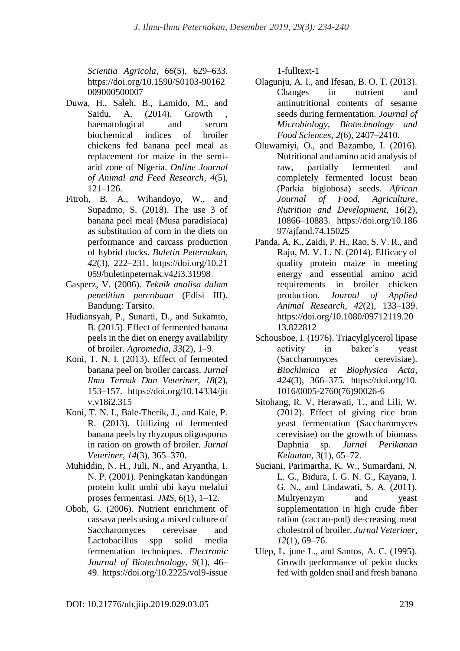*Scientia Agricola*, *66*(5), 629–633. https://doi.org/10.1590/S0103-90162 009000500007

- Duwa, H., Saleh, B., Lamido, M., and Saidu, A. (2014). Growth haematological and serum biochemical indices of broiler chickens fed banana peel meal as replacement for maize in the semiarid zone of Nigeria. *Online Journal of Animal and Feed Research*, *4*(5), 121–126.
- Fitroh, B. A., Wihandoyo, W., and Supadmo, S. (2018). The use 3 of banana peel meal (Musa paradisiaca) as substitution of corn in the diets on performance and carcass production of hybrid ducks. *Buletin Peternakan*, *42*(3), 222–231. https://doi.org/10.21 059/buletinpeternak.v42i3.31998
- Gasperz, V. (2006). *Teknik analisa dalam penelitian percobaan* (Edisi III). Bandung: Tarsito.
- Hudiansyah, P., Sunarti, D., and Sukamto, B. (2015). Effect of fermented banana peels in the diet on energy availability of broiler. *Agromedia*, *33*(2), 1–9.
- Koni, T. N. I. (2013). Effect of fermented banana peel on broiler carcass. *Jurnal Ilmu Ternak Dan Veteriner*, *18*(2), 153–157. https://doi.org/10.14334/jit v.v18i2.315
- Koni, T. N. I., Bale-Therik, J., and Kale, P. R. (2013). Utilizing of fermented banana peels by rhyzopus oligosporus in ration on growth of broiler. *Jurnal Veteriner*, *14*(3), 365–370.
- Muhiddin, N. H., Juli, N., and Aryantha, I. N. P. (2001). Peningkatan kandungan protein kulit umbi ubi kayu melalui proses fermentasi. *JMS*, *6*(1), 1–12.
- Oboh, G. (2006). Nutrient enrichment of cassava peels using a mixed culture of Saccharomyces cerevisae and Lactobacillus spp solid media fermentation techniques. *Electronic Journal of Biotechnology*, *9*(1), 46– 49. https://doi.org/10.2225/vol9-issue

1-fulltext-1

- Olagunju, A. I., and Ifesan, B. O. T. (2013). Changes in nutrient and antinutritional contents of sesame seeds during fermentation. *Journal of Microbiology, Biotechnology and Food Sciences*, *2*(6), 2407–2410.
- Oluwamiyi, O., and Bazambo, I. (2016). Nutritional and amino acid analysis of raw, partially fermented and completely fermented locust bean (Parkia biglobosa) seeds. *African Journal of Food, Agriculture, Nutrition and Development*, *16*(2), 10866–10883. https://doi.org/10.186 97/ajfand.74.15025
- Panda, A. K., Zaidi, P. H., Rao, S. V. R., and Raju, M. V. L. N. (2014). Efficacy of quality protein maize in meeting energy and essential amino acid requirements in broiler chicken production. *Journal of Applied Animal Research*, *42*(2), 133–139. https://doi.org/10.1080/09712119.20 13.822812
- Schousboe, I. (1976). Triacylglycerol lipase activity in baker's yeast (Saccharomyces cerevisiae). *Biochimica et Biophysica Acta*, *424*(3), 366–375. https://doi.org/10. 1016/0005-2760(76)90026-6
- Sitohang, R. V, Herawati, T., and Lili, W. (2012). Effect of giving rice bran yeast fermentation (Saccharomyces cerevisiae) on the growth of biomass Daphnia sp. *Jurnal Perikanan Kelautan*, *3*(1), 65–72.
- Suciani, Parimartha, K. W., Sumardani, N. L. G., Bidura, I. G. N. G., Kayana, I. G. N., and Lindawati, S. A. (2011). Multyenzym and yeast supplementation in high crude fiber ration (caccao-pod) de-creasing meat cholestrol of broiler. *Jurnal Veteriner*, *12*(1), 69–76.
- Ulep, L. june L., and Santos, A. C. (1995). Growth performance of pekin ducks fed with golden snail and fresh banana